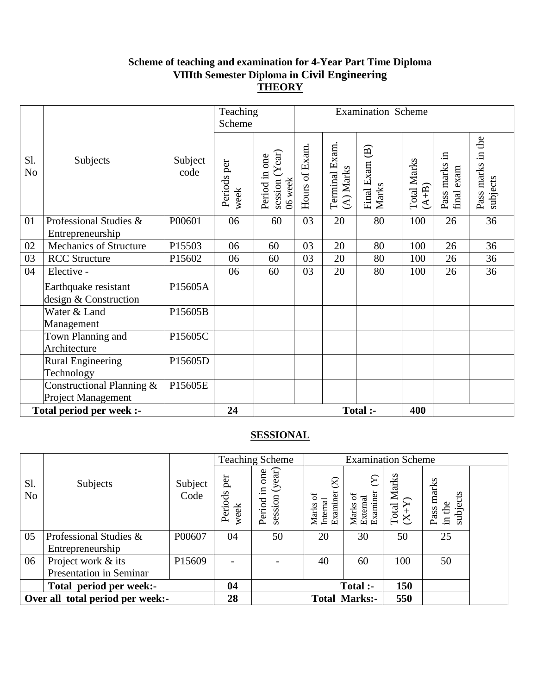## **Scheme of teaching and examination for 4-Year Part Time Diploma VIIIth Semester Diploma in Civil Engineering THEORY**

|                       |                                                        |                 | Teaching<br>Scheme  | Examination Scheme                         |                |                            |                         |                               |                             |                               |
|-----------------------|--------------------------------------------------------|-----------------|---------------------|--------------------------------------------|----------------|----------------------------|-------------------------|-------------------------------|-----------------------------|-------------------------------|
| Sl.<br>N <sub>o</sub> | Subjects                                               | Subject<br>code | Periods per<br>week | session (Year)<br>Period in one<br>06 week | Hours of Exam. | Terminal Exam<br>(A) Marks | Final Exam (B)<br>Marks | <b>Total Marks</b><br>$(A+B)$ | Pass marks in<br>final exam | Pass marks in the<br>subjects |
| 01                    | Professional Studies &<br>Entrepreneurship             | P00601          | 06                  | 60                                         | 03             | 20                         | 80                      | 100                           | 26                          | 36                            |
| 02                    | Mechanics of Structure                                 | P15503          | 06                  | 60                                         | 03             | 20                         | 80                      | 100                           | 26                          | 36                            |
| 03                    | <b>RCC</b> Structure                                   | P15602          | 06                  | 60                                         | 03             | 20                         | 80                      | 100                           | 26                          | 36                            |
| 04                    | Elective -                                             |                 | 06                  | 60                                         | 03             | 20                         | 80                      | 100                           | 26                          | 36                            |
|                       | Earthquake resistant<br>design & Construction          | P15605A         |                     |                                            |                |                            |                         |                               |                             |                               |
|                       | Water & Land<br>Management                             | P15605B         |                     |                                            |                |                            |                         |                               |                             |                               |
|                       | Town Planning and<br>Architecture                      | P15605C         |                     |                                            |                |                            |                         |                               |                             |                               |
|                       | <b>Rural Engineering</b><br>Technology                 | P15605D         |                     |                                            |                |                            |                         |                               |                             |                               |
|                       | Constructional Planning &<br><b>Project Management</b> | P15605E         |                     |                                            |                |                            |                         |                               |                             |                               |
|                       | Total period per week :-                               |                 | 24                  |                                            |                |                            | Total :-                | 400                           |                             |                               |

|                                  |                                |                 |                          | <b>Teaching Scheme</b>                   | <b>Examination Scheme</b>                         |                                              |                                         |                                  |  |  |
|----------------------------------|--------------------------------|-----------------|--------------------------|------------------------------------------|---------------------------------------------------|----------------------------------------------|-----------------------------------------|----------------------------------|--|--|
| S1.<br>N <sub>o</sub>            | Subjects                       | Subject<br>Code | per<br>Periods<br>week   | (year)<br>one<br>묘.<br>session<br>Period | $\otimes$<br>Examiner<br>ď<br>Marks o<br>Internal | $\sum$<br>Examiner<br>ō<br>External<br>Marks | Marks<br>$\frac{\text{Total N}}{(X+Y)}$ | Pass marks<br>subjects<br>in the |  |  |
| 05                               | Professional Studies &         | P00607          | 04                       | 50                                       | 20                                                | 30                                           | 50                                      | 25                               |  |  |
|                                  | Entrepreneurship               |                 |                          |                                          |                                                   |                                              |                                         |                                  |  |  |
| 06                               | Project work & its             | P15609          | $\overline{\phantom{0}}$ |                                          | 40                                                | 60                                           | 100                                     | 50                               |  |  |
|                                  | <b>Presentation in Seminar</b> |                 |                          |                                          |                                                   |                                              |                                         |                                  |  |  |
|                                  | Total period per week:-        |                 | 04                       |                                          |                                                   | <b>Total :-</b>                              | 150                                     |                                  |  |  |
| Over all total period per week:- |                                |                 | 28                       |                                          |                                                   | <b>Total Marks:-</b>                         | 550                                     |                                  |  |  |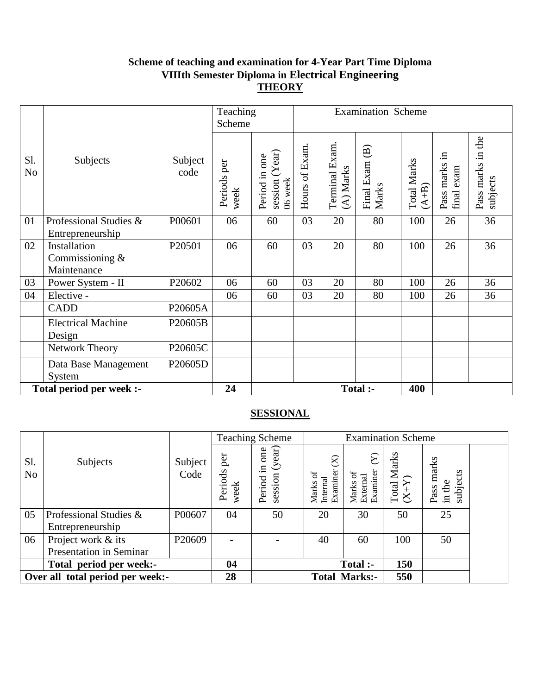### **Scheme of teaching and examination for 4-Year Part Time Diploma VIIIth Semester Diploma in Electrical Engineering THEORY**

|                       |                                                  |                 | <b>Examination Scheme</b><br>Teaching<br>Scheme |                                                |                |                             |                         |                               |                             |                               |
|-----------------------|--------------------------------------------------|-----------------|-------------------------------------------------|------------------------------------------------|----------------|-----------------------------|-------------------------|-------------------------------|-----------------------------|-------------------------------|
| Sl.<br>N <sub>o</sub> | Subjects                                         | Subject<br>code | Periods per<br>week                             | Year<br>one<br>Period in<br>06 week<br>session | Hours of Exam. | Terminal Exam.<br>(A) Marks | Final Exam (B)<br>Marks | <b>Total Marks</b><br>$(A+B)$ | Pass marks in<br>final exam | Pass marks in the<br>subjects |
| 01                    | Professional Studies &<br>Entrepreneurship       | P00601          | 06                                              | 60                                             | 03             | 20                          | 80                      | 100                           | 26                          | 36                            |
| 02                    | Installation<br>Commissioning $&$<br>Maintenance | P20501          | 06                                              | 60                                             | 03             | 20                          | 80                      | 100                           | 26                          | 36                            |
| 03                    | Power System - II                                | P20602          | 06                                              | 60                                             | 03             | 20                          | 80                      | 100                           | 26                          | 36                            |
| 04                    | Elective -                                       |                 | 06                                              | 60                                             | 03             | 20                          | 80                      | 100                           | 26                          | 36                            |
|                       | <b>CADD</b>                                      | P20605A         |                                                 |                                                |                |                             |                         |                               |                             |                               |
|                       | <b>Electrical Machine</b><br>Design              | P20605B         |                                                 |                                                |                |                             |                         |                               |                             |                               |
|                       | Network Theory                                   | P20605C         |                                                 |                                                |                |                             |                         |                               |                             |                               |
|                       | Data Base Management<br>System                   | P20605D         |                                                 |                                                |                |                             |                         |                               |                             |                               |
|                       | Total period per week :-                         |                 | 24                                              |                                                |                |                             | Total :-                | 400                           |                             |                               |

|                                  |                         |                 |                          | <b>Teaching Scheme</b>                      | <b>Examination Scheme</b>                       |                                                 |                                         |                                  |  |  |
|----------------------------------|-------------------------|-----------------|--------------------------|---------------------------------------------|-------------------------------------------------|-------------------------------------------------|-----------------------------------------|----------------------------------|--|--|
| S1.<br>N <sub>o</sub>            | Subjects                | Subject<br>Code | per<br>Periods<br>week   | (year)<br>one<br>$\Xi$<br>session<br>Period | $\otimes$<br>Examiner<br>ď<br>Internal<br>Marks | $\sum$<br>Examiner<br>ō<br>Marks of<br>External | Marks<br>$\frac{\text{Total N}}{(X+Y)}$ | Pass marks<br>subjects<br>in the |  |  |
| 05                               | Professional Studies &  | P00607          | 04                       | 50                                          | 20                                              | 30                                              | 50                                      | 25                               |  |  |
|                                  | Entrepreneurship        |                 |                          |                                             |                                                 |                                                 |                                         |                                  |  |  |
| 06                               | Project work & its      | P20609          | $\overline{\phantom{0}}$ |                                             | 40                                              | 60                                              | 100                                     | 50                               |  |  |
|                                  | Presentation in Seminar |                 |                          |                                             |                                                 |                                                 |                                         |                                  |  |  |
|                                  | Total period per week:- |                 | 04                       |                                             |                                                 | <b>Total :-</b>                                 | 150                                     |                                  |  |  |
| Over all total period per week:- |                         |                 | 28                       |                                             |                                                 | <b>Total Marks:-</b>                            | 550                                     |                                  |  |  |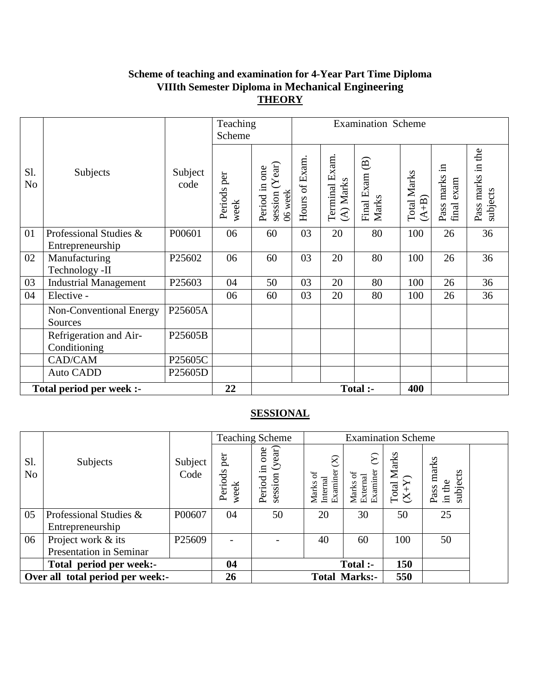# **Scheme of teaching and examination for 4-Year Part Time Diploma VIIIth Semester Diploma in Mechanical Engineering THEORY**

|                          |                                            |                 | Teaching<br>Scheme  |                                            |               |                             | <b>Examination Scheme</b>                     |                             |                             |                               |  |  |
|--------------------------|--------------------------------------------|-----------------|---------------------|--------------------------------------------|---------------|-----------------------------|-----------------------------------------------|-----------------------------|-----------------------------|-------------------------------|--|--|
| Sl.<br>N <sub>o</sub>    | Subjects                                   | Subject<br>code | Periods per<br>week | session (Year)<br>Period in one<br>06 week | Hours of Exam | Terminal Exam.<br>(A) Marks | $\widehat{\mathbf{B}}$<br>Final Exam<br>Marks | <b>Total Marks</b><br>$A+B$ | Pass marks in<br>final exam | Pass marks in the<br>subjects |  |  |
| 01                       | Professional Studies &<br>Entrepreneurship | P00601          | 06                  | 60                                         | 03            | 20                          | 80                                            | 100                         | 26                          | 36                            |  |  |
| 02                       | Manufacturing<br>Technology -II            | P25602          | 06                  | 60                                         | 03            | 20                          | 80                                            | 100                         | 26                          | 36                            |  |  |
| 03                       | <b>Industrial Management</b>               | P25603          | 04                  | 50                                         | 03            | 20                          | 80                                            | 100                         | 26                          | 36                            |  |  |
| 04                       | Elective -                                 |                 | 06                  | 60                                         | 03            | 20                          | 80                                            | 100                         | 26                          | 36                            |  |  |
|                          | Non-Conventional Energy<br>Sources         | P25605A         |                     |                                            |               |                             |                                               |                             |                             |                               |  |  |
|                          | Refrigeration and Air-<br>Conditioning     | P25605B         |                     |                                            |               |                             |                                               |                             |                             |                               |  |  |
|                          | CAD/CAM                                    | P25605C         |                     |                                            |               |                             |                                               |                             |                             |                               |  |  |
|                          | <b>Auto CADD</b>                           | P25605D         |                     |                                            |               |                             |                                               |                             |                             |                               |  |  |
| Total period per week :- |                                            | 22              |                     |                                            |               | Total :-                    | 400                                           |                             |                             |                               |  |  |

|                                  |                         |                 |                        | <b>Teaching Scheme</b>                      | <b>Examination Scheme</b>                              |                                            |                                         |                                  |  |
|----------------------------------|-------------------------|-----------------|------------------------|---------------------------------------------|--------------------------------------------------------|--------------------------------------------|-----------------------------------------|----------------------------------|--|
| Sl.<br>N <sub>o</sub>            | Subjects                | Subject<br>Code | per<br>Periods<br>week | (year)<br>one<br>$\Xi$<br>session<br>Period | $\otimes$<br>Examiner<br>$\sigma$<br>Internal<br>Marks | ম<br>Examiner<br>đ<br>Marks of<br>External | Marks<br>$\frac{\text{Total N}}{(X+Y)}$ | Pass marks<br>subjects<br>in the |  |
| 05                               | Professional Studies &  | P00607          | 04                     | 50                                          | 20                                                     | 30                                         | 50                                      | 25                               |  |
|                                  | Entrepreneurship        |                 |                        |                                             |                                                        |                                            |                                         |                                  |  |
| 06                               | Project work & its      | P25609          |                        |                                             | 40                                                     | 60                                         | 100                                     | 50                               |  |
|                                  | Presentation in Seminar |                 |                        |                                             |                                                        |                                            |                                         |                                  |  |
|                                  | Total period per week:- |                 | 04                     |                                             |                                                        | <b>Total :-</b>                            | 150                                     |                                  |  |
| Over all total period per week:- |                         |                 | 26                     |                                             | 550<br><b>Total Marks:-</b>                            |                                            |                                         |                                  |  |